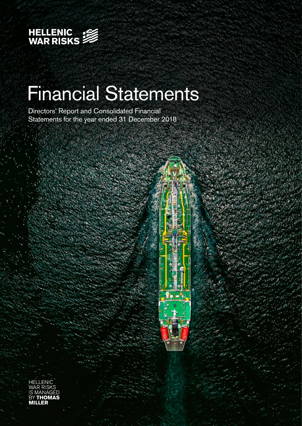

# Financial Statements

Directors' Report and Consolidated Financial Statements for the year ended 31 December 2018

HELLENIC ח ۸S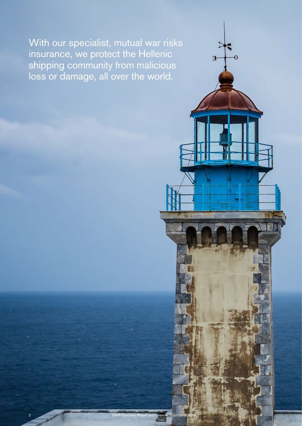With our specialist, mutual war risks insurance, we protect the Hellenic shipping community from malicious loss or damage, all over the world.

Ŧ

 $\overline{0}$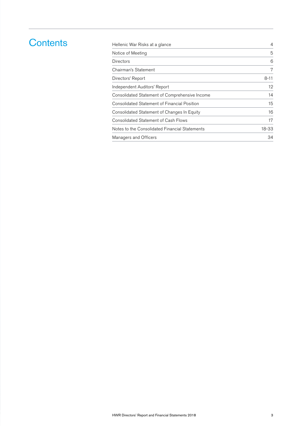### **Contents**

| Hellenic War Risks at a glance                 | 4        |
|------------------------------------------------|----------|
| Notice of Meeting                              | 5        |
| Directors                                      | 6        |
| Chairman's Statement                           | 7        |
| Directors' Report                              | $8 - 11$ |
| Independent Auditors' Report                   | 12       |
| Consolidated Statement of Comprehensive Income | 14       |
| Consolidated Statement of Financial Position   | 15       |
| Consolidated Statement of Changes In Equity    | 16       |
| Consolidated Statement of Cash Flows           | 17       |
| Notes to the Consolidated Financial Statements | 18-33    |
| Managers and Officers                          | 34       |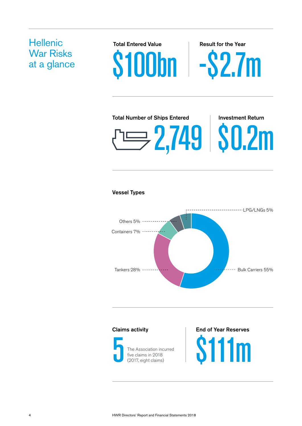# **Hellenic** War Risks

War Risks<br>at a glance **\$100bn** - \$2.7m Total Entered Value **Result for the Year** 

# 2,749 \$0.2m Total Number of Ships Entered Investment Return

### Vessel Types





The Association incurred five claims in 2018 (2017, eight claims)

### Claims activity **End of Year Reserves**

**S111m**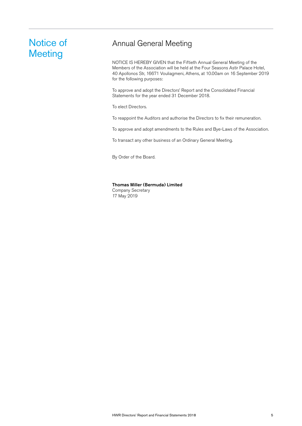### Notice of **Meeting**

### Annual General Meeting

NOTICE IS HEREBY GIVEN that the Fiftieth Annual General Meeting of the Members of the Association will be held at the Four Seasons Astir Palace Hotel, 40 Apollonos Str, 16671 Vouliagmeni, Athens, at 10.00am on 16 September 2019 for the following purposes:

To approve and adopt the Directors' Report and the Consolidated Financial Statements for the year ended 31 December 2018.

To elect Directors.

To reappoint the Auditors and authorise the Directors to fix their remuneration.

To approve and adopt amendments to the Rules and Bye-Laws of the Association.

To transact any other business of an Ordinary General Meeting.

By Order of the Board.

#### Thomas Miller (Bermuda) Limited

Company Secretary 17 May 2019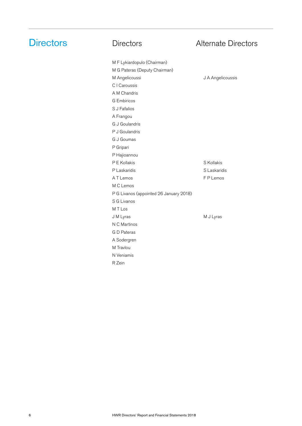M F Lykiardopulo (Chairman)

## **Directors** Directors **Directors** Alternate Directors

| M G Pateras (Deputy Chairman)           |                   |
|-----------------------------------------|-------------------|
| M Angelicoussi                          | J A Angelicoussis |
| C I Caroussis                           |                   |
| A M Chandris                            |                   |
| <b>G</b> Embiricos                      |                   |
| S J Fafalios                            |                   |
| A Frangou                               |                   |
| G J Goulandris                          |                   |
| P J Goulandris                          |                   |
| G J Goumas                              |                   |
| P Gripari                               |                   |
| P Hajioannou                            |                   |
| P E Kollakis                            | S Kollakis        |
| P Laskaridis                            | S Laskaridis      |
| A T Lemos                               | F P Lemos         |
| M C Lemos                               |                   |
| P G Livanos (appointed 26 January 2018) |                   |
| S G Livanos                             |                   |
| M T Los                                 |                   |
| J M Lyras                               | M J Lyras         |
| N C Martinos                            |                   |
| G D Pateras                             |                   |
| A Sodergren                             |                   |
| M Travlou                               |                   |
| N Veniamis                              |                   |
| R Zein                                  |                   |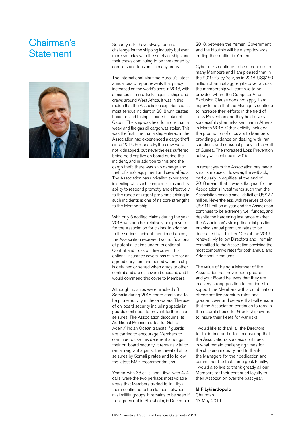### Chairman's **Statement**



Security risks have always been a challenge for the shipping industry but even more so today with the safety of ships and their crews continuing to be threatened by conflicts and tensions in many areas.

The International Maritime Bureau's latest annual piracy report reveals that piracy increased on the world's seas in 2018, with a marked rise in attacks against ships and crews around West Africa. It was in this region that the Association experienced its most serious incident of 2018 with pirates boarding and taking a loaded tanker off Gabon. The ship was held for more than a week and the gas oil cargo was stolen. This was the first time that a ship entered in the Association had experienced a cargo theft since 2014. Fortunately, the crew were not kidnapped, but nevertheless suffered being held captive on board during the incident, and in addition to this and the cargo theft, there was ship damage and theft of ship's equipment and crew effects. The Association has unrivalled experience in dealing with such complex claims and its ability to respond promptly and effectively to the range of urgent problems arising in such incidents is one of its core strengths to the Membership.

With only 5 notified claims during the year, 2018 was another relatively benign year for the Association for claims. In addition to the serious incident mentioned above, the Association received two notifications of potential claims under its optional Contraband Loss of Hire cover. This optional insurance covers loss of hire for an agreed daily sum and period where a ship is detained or seized when drugs or other contraband are discovered onboard, and I would commend this cover to Members.

Although no ships were hijacked off Somalia during 2018, there continued to be pirate activity in these waters. The use of on-board security including specialist guards continues to prevent further ship seizures. The Association discounts its Additional Premium rates for Gulf of Aden / Indian Ocean transits if guards are carried to encourage Members to continue to use this deterrent amongst their on-board security. It remains vital to remain vigilant against the threat of ship seizures by Somali pirates and to follow the latest BMP recommendations.

Yemen, with 36 calls, and Libya, with 424 calls, were the two perhaps most volatile areas that Members traded to. In Libya there continued to be clashes between rival militia groups. It remains to be seen if the agreement in Stockholm, in December

2018, between the Yemeni Government and the Houthis will be a step towards ending the conflict in Yemen.

Cyber risks continue to be of concern to many Members and I am pleased that in the 2019 Policy Year, as in 2018, US\$150 million of annual aggregate cover across the membership will continue to be provided where the Computer Virus Exclusion Clause does not apply. I am happy to note that the Managers continue to increase their efforts in the field of Loss Prevention and they held a very successful cyber risks seminar in Athens in March 2018. Other activity included the production of circulars to Members providing guidance on dealing with Iran sanctions and seasonal piracy in the Gulf of Guinea. The increased Loss Prevention activity will continue in 2019.

In recent years the Association has made small surpluses. However, the setback, particularly in equities, at the end of 2018 meant that it was a flat year for the Association's investments such that the Association made a small deficit of US\$2.7 million. Nevertheless, with reserves of over US\$111 million at year end the Association continues to be extremely well funded, and despite the hardening insurance market the Association's strong financial position enabled annual premium rates to be decreased by a further 10% at the 2019 renewal. My fellow Directors and I remain committed to the Association providing the most competitive rates for both annual and Additional Premiums.

The value of being a Member of the Association has never been greater and your Board believes that they are in a very strong position to continue to support the Members with a combination of competitive premium rates and greater cover and service that will ensure that the Association continues to remain the natural choice for Greek shipowners to insure their fleets for war risks.

I would like to thank all the Directors for their time and effort in ensuring that the Association's success continues in what remain challenging times for the shipping industry, and to thank the Managers for their dedication and commitment to that same goal. Finally, I would also like to thank greatly all our Members for their continued loyalty to their Association over the past year.

#### M F Lykiardopulo

Chairman 17 May 2019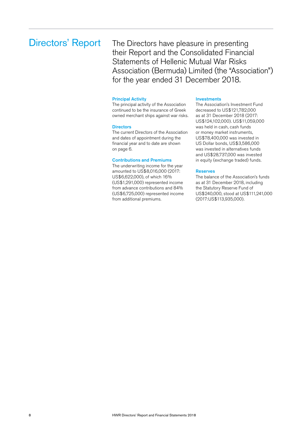### Directors' Report

The Directors have pleasure in presenting their Report and the Consolidated Financial Statements of Hellenic Mutual War Risks Association (Bermuda) Limited (the "Association") for the year ended 31 December 2018.

#### Principal Activity

The principal activity of the Association continued to be the insurance of Greek owned merchant ships against war risks.

#### **Directors**

The current Directors of the Association and dates of appointment during the financial year and to date are shown on page 6.

#### Contributions and Premiums

The underwriting income for the year amounted to US\$8,016,000 (2017: US\$6,622,000), of which 16% (US\$1,291,000) represented income from advance contributions and 84% (US\$6,725,000) represented income from additional premiums.

#### Investments

The Association's Investment Fund decreased to US\$121,782,000 as at 31 December 2018 (2017: US\$124,102,000). US\$11,059,000 was held in cash, cash funds or money market instruments, US\$78,400,000 was invested in US Dollar bonds, US\$3,586,000 was invested in alternatives funds and US\$28,737,000 was invested in equity (exchange traded) funds.

#### Reserves

The balance of the Association's funds as at 31 December 2018, including the Statutory Reserve Fund of US\$240,000, stood at US\$111,241,000 (2017:US\$113,935,000).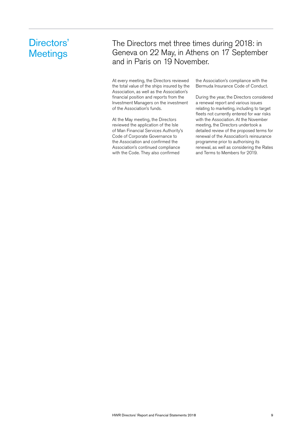### Directors' **Meetings**

### The Directors met three times during 2018: in Geneva on 22 May, in Athens on 17 September and in Paris on 19 November.

At every meeting, the Directors reviewed the total value of the ships insured by the Association, as well as the Association's financial position and reports from the Investment Managers on the investment of the Association's funds.

At the May meeting, the Directors reviewed the application of the Isle of Man Financial Services Authority's Code of Corporate Governance to the Association and confirmed the Association's continued compliance with the Code. They also confirmed

the Association's compliance with the Bermuda Insurance Code of Conduct.

During the year, the Directors considered a renewal report and various issues relating to marketing, including to target fleets not currently entered for war risks with the Association. At the November meeting, the Directors undertook a detailed review of the proposed terms for renewal of the Association's reinsurance programme prior to authorising its renewal, as well as considering the Rates and Terms to Members for 2019.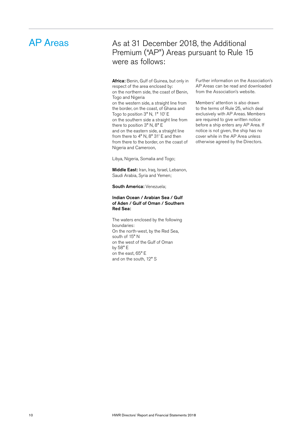### AP Areas

### As at 31 December 2018, the Additional Premium ("AP") Areas pursuant to Rule 15 were as follows:

Africa: Benin, Gulf of Guinea, but only in respect of the area enclosed by: on the northern side, the coast of Benin, Togo and Nigeria

on the western side, a straight line from the border, on the coast, of Ghana and Togo to position 3° N, 1° 10' E on the southern side a straight line from there to position 3° N, 8° E and on the eastern side, a straight line from there to 4° N, 8° 31' E and then from there to the border, on the coast of Nigeria and Cameroon,

Libya, Nigeria, Somalia and Togo;

Middle East: Iran, Iraq, Israel, Lebanon, Saudi Arabia, Syria and Yemen;

South America: Venezuela;

#### Indian Ocean / Arabian Sea / Gulf of Aden / Gulf of Oman / Southern Red Sea:

The waters enclosed by the following boundaries: On the north-west, by the Red Sea, south of 15° N on the west of the Gulf of Oman by 58° E on the east, 65° E and on the south, 12° S

Further information on the Association's AP Areas can be read and downloaded from the Association's website.

Members' attention is also drawn to the terms of Rule 25, which deal exclusively with AP Areas. Members are required to give written notice before a ship enters any AP Area. If notice is not given, the ship has no cover while in the AP Area unless otherwise agreed by the Directors.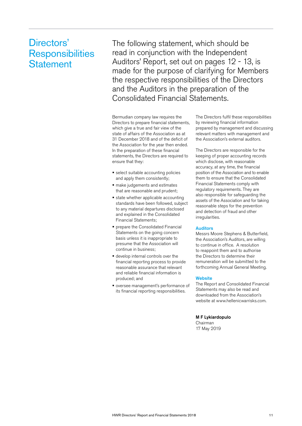### Directors' **Responsibilities Statement**

The following statement, which should be read in conjunction with the Independent Auditors' Report, set out on pages 12 - 13, is made for the purpose of clarifying for Members the respective responsibilities of the Directors and the Auditors in the preparation of the Consolidated Financial Statements.

Bermudian company law requires the Directors to prepare financial statements, which give a true and fair view of the state of affairs of the Association as at 31 December 2018 and of the deficit of the Association for the year then ended. In the preparation of these financial statements, the Directors are required to ensure that they:

- select suitable accounting policies and apply them consistently;
- $\blacksquare$  make judgements and estimates that are reasonable and prudent;
- **state whether applicable accounting** standards have been followed, subject to any material departures disclosed and explained in the Consolidated Financial Statements;
- prepare the Consolidated Financial Statements on the going concern basis unless it is inappropriate to presume that the Association will continue in business;
- develop internal controls over the financial reporting process to provide reasonable assurance that relevant and reliable financial information is produced; and
- oversee management's performance of its financial reporting responsibilities.

The Directors fulfil these responsibilities by reviewing financial information prepared by management and discussing relevant matters with management and the Association's external auditors.

The Directors are responsible for the keeping of proper accounting records which disclose, with reasonable accuracy, at any time, the financial position of the Association and to enable them to ensure that the Consolidated Financial Statements comply with regulatory requirements. They are also responsible for safeguarding the assets of the Association and for taking reasonable steps for the prevention and detection of fraud and other irregularities.

#### Auditors

Messrs Moore Stephens & Butterfield, the Association's Auditors, are willing to continue in office. A resolution to reappoint them and to authorise the Directors to determine their remuneration will be submitted to the forthcoming Annual General Meeting.

#### **Website**

The Report and Consolidated Financial Statements may also be read and downloaded from the Association's website at www.hellenicwarrisks.com.

M F Lykiardopulo Chairman 17 May 2019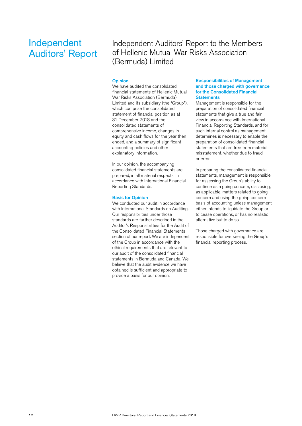### Independent Auditors' Report

Independent Auditors' Report to the Members of Hellenic Mutual War Risks Association (Bermuda) Limited

#### **Opinion**

We have audited the consolidated financial statements of Hellenic Mutual War Risks Association (Bermuda) Limited and its subsidiary (the "Group"), which comprise the consolidated statement of financial position as at 31 December 2018 and the consolidated statements of comprehensive income, changes in equity and cash flows for the year then ended, and a summary of significant accounting policies and other explanatory information.

In our opinion, the accompanying consolidated financial statements are prepared, in all material respects, in accordance with International Financial Reporting Standards.

#### Basis for Opinion

We conducted our audit in accordance with International Standards on Auditing. Our responsibilities under those standards are further described in the Auditor's Responsibilities for the Audit of the Consolidated Financial Statements section of our report. We are independent of the Group in accordance with the ethical requirements that are relevant to our audit of the consolidated financial statements in Bermuda and Canada. We believe that the audit evidence we have obtained is sufficient and appropriate to provide a basis for our opinion.

#### Responsibilities of Management and those charged with governance for the Consolidated Financial **Statements**

Management is responsible for the preparation of consolidated financial statements that give a true and fair view in accordance with International Financial Reporting Standards, and for such internal control as management determines is necessary to enable the preparation of consolidated financial statements that are free from material misstatement, whether due to fraud or error.

In preparing the consolidated financial statements, management is responsible for assessing the Group's ability to continue as a going concern, disclosing, as applicable, matters related to going concern and using the going concern basis of accounting unless management either intends to liquidate the Group or to cease operations, or has no realistic alternative but to do so.

Those charged with governance are responsible for overseeing the Group's financial reporting process.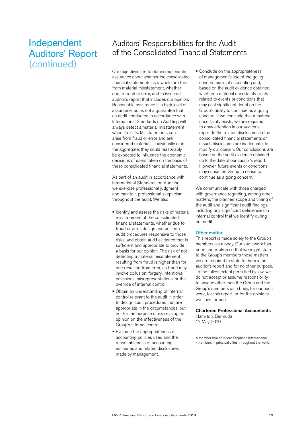### Independent Auditors' Report (continued)

### Auditors' Responsibilities for the Audit of the Consolidated Financial Statements

Our objectives are to obtain reasonable assurance about whether the consolidated financial statements as a whole are free from material misstatement, whether due to fraud or error, and to issue an auditor's report that includes our opinion. Reasonable assurance is a high level of assurance, but is not a guarantee that an audit conducted in accordance with International Standards on Auditing will always detect a material misstatement when it exists. Misstatements can arise from fraud or error and are considered material if, individually or in the aggregate, they could reasonably be expected to influence the economic decisions of users taken on the basis of these consolidated financial statements.

As part of an audit in accordance with International Standards on Auditing, we exercise professional judgment and maintain professional skepticism throughout the audit. We also:

- **I** Identify and assess the risks of material misstatement of the consolidated financial statements, whether due to fraud or error, design and perform audit procedures responsive to those risks, and obtain audit evidence that is sufficient and appropriate to provide a basis for our opinion. The risk of not detecting a material misstatement resulting from fraud is higher than for one resulting from error, as fraud may involve collusion, forgery, intentional omissions, misrepresentations, or the override of internal control.
- **Obtain an understanding of internal** control relevant to the audit in order to design audit procedures that are appropriate in the circumstances, but not for the purpose of expressing an opinion on the effectiveness of the Group's internal control.
- **Evaluate the appropriateness of** accounting policies used and the reasonableness of accounting estimates and related disclosures made by management.

• Conclude on the appropriateness of management's use of the going concern basis of accounting and, based on the audit evidence obtained, whether a material uncertainty exists related to events or conditions that may cast significant doubt on the Group's ability to continue as a going concern. If we conclude that a material uncertainty exists, we are required to draw attention in our auditor's report to the related disclosures in the consolidated financial statements or, if such disclosures are inadequate, to modify our opinion. Our conclusions are based on the audit evidence obtained up to the date of our auditor's report. However, future events or conditions may cause the Group to cease to continue as a going concern.

We communicate with those charged with governance regarding, among other matters, the planned scope and timing of the audit and significant audit findings, including any significant deficiencies in internal control that we identify during our audit.

#### Other matter

This report is made solely to the Group's members, as a body. Our audit work has been undertaken so that we might state to the Group's members those matters we are required to state to them in an auditor's report and for no other purpose. To the fullest extent permitted by law, we do not accept or assume responsibility to anyone other than the Group and the Group's members as a body, for our audit work, for this report, or for the opinions we have formed.

#### Chartered Professional Accountants Hamilton, Bermuda

17 May 2019

A member firm of Moore Stephens International - members in principal cities throughout the world.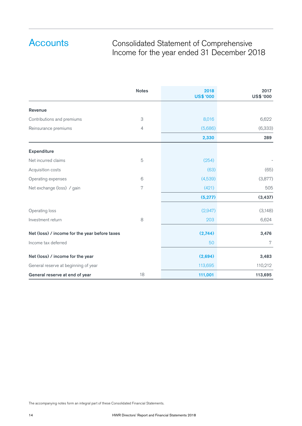### Consolidated Statement of Comprehensive Income for the year ended 31 December 2018

|                                               | <b>Notes</b> | 2018<br><b>US\$ '000</b> | 2017<br><b>US\$ '000</b> |
|-----------------------------------------------|--------------|--------------------------|--------------------------|
| <b>Revenue</b>                                |              |                          |                          |
| Contributions and premiums                    | 3            | 8,016                    | 6,622                    |
| Reinsurance premiums                          | 4            | (5,686)                  | (6,333)                  |
|                                               |              | 2,330                    | 289                      |
| <b>Expenditure</b>                            |              |                          |                          |
| Net incurred claims                           | 5            | (254)                    |                          |
| Acquisition costs                             |              | (63)                     | (65)                     |
| Operating expenses                            | 6            | (4,539)                  | (3,877)                  |
| Net exchange (loss) / gain                    | 7            | (421)                    | 505                      |
|                                               |              | (5,277)                  | (3, 437)                 |
| Operating loss                                |              | (2, 947)                 | (3,148)                  |
| Investment return                             | 8            | 203                      | 6,624                    |
| Net (loss) / income for the year before taxes |              | (2,744)                  | 3,476                    |
| Income tax deferred                           |              | 50                       | 7                        |
| Net (loss) / income for the year              |              | (2,694)                  | 3,483                    |
| General reserve at beginning of year          |              | 113,695                  | 110,212                  |
| General reserve at end of year                | 18           | 111,001                  | 113,695                  |

The accompanying notes form an integral part of these Consolidated Financial Statements.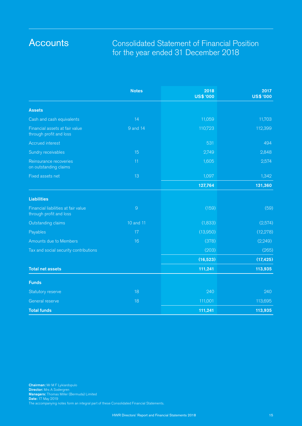### Consolidated Statement of Financial Position for the year ended 31 December 2018

|                                                                | <b>Notes</b>   | 2018<br><b>US\$ '000</b> | 2017<br><b>US\$ '000</b> |
|----------------------------------------------------------------|----------------|--------------------------|--------------------------|
| <b>Assets</b>                                                  |                |                          |                          |
| Cash and cash equivalents                                      | 14             | 11,059                   | 11,703                   |
| Financial assets at fair value<br>through profit and loss      | 9 and 14       | 110,723                  | 112,399                  |
| <b>Accrued interest</b>                                        |                | 531                      | 494                      |
| Sundry receivables                                             | 15             | 2,749                    | 2,848                    |
| Reinsurance recoveries<br>on outstanding claims                | 11             | 1,605                    | 2,574                    |
| Fixed assets net                                               | 13             | 1,097                    | 1,342                    |
|                                                                |                | 127,764                  | 131,360                  |
| <b>Liabilities</b>                                             |                |                          |                          |
| Financial liabilities at fair value<br>through profit and loss | $\overline{9}$ | (159)                    | (59)                     |
| Outstanding claims                                             | 10 and 11      | (1,833)                  | (2,574)                  |
| Payables                                                       | 17             | (13,950)                 | (12, 278)                |
| Amounts due to Members                                         | 16             | (378)                    | (2, 249)                 |
| Tax and social security contributions                          |                | (203)                    | (265)                    |
|                                                                |                | (16, 523)                | (17, 425)                |
| <b>Total net assets</b>                                        |                | 111,241                  | 113,935                  |
| <b>Funds</b>                                                   |                |                          |                          |
| Statutory reserve                                              | 18             | 240                      | 240                      |
| <b>General reserve</b>                                         | 18             | 111,001                  | 113,695                  |
| <b>Total funds</b>                                             |                | 111,241                  | 113,935                  |

Chairman: Mr M F Lykiardopulo Director: Mrs A Sodergren Managers: Thomas Miller (Bermuda) Limited Date: 17 May 2019 The accompanying notes form an integral part of these Consolidated Financial Statements.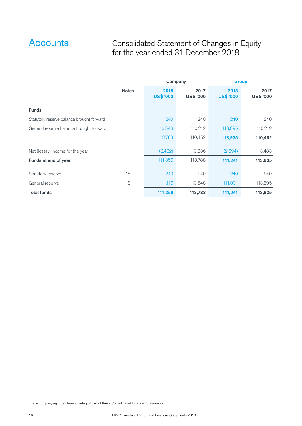### Consolidated Statement of Changes in Equity for the year ended 31 December 2018

|                                           |              | Company                  |                   | <b>Group</b>             |                   |
|-------------------------------------------|--------------|--------------------------|-------------------|--------------------------|-------------------|
|                                           | <b>Notes</b> | 2018<br><b>US\$ '000</b> | 2017<br>US\$ '000 | 2018<br><b>US\$ '000</b> | 2017<br>US\$ '000 |
| <b>Funds</b>                              |              |                          |                   |                          |                   |
| Statutory reserve balance brought forward |              | 240                      | 240               | 240                      | 240               |
| General reserve balance brought forward   |              | 113,548                  | 110,212           | 113,695                  | 110,212           |
|                                           |              | 113,788                  | 110,452           | 113,935                  | 110,452           |
| Net (loss) / income for the year          |              | (2,432)                  | 3,336             | (2,694)                  | 3,483             |
| Funds at end of year                      |              | 111,356                  | 113,788           | 111,241                  | 113,935           |
| Statutory reserve                         | 18           | 240                      | 240               | 240                      | 240               |
| General reserve                           | 18           | 111,116                  | 113,548           | 111,001                  | 113,695           |
| <b>Total funds</b>                        |              | 111,356                  | 113,788           | 111,241                  | 113,935           |

The accompanying notes form an integral part of these Consolidated Financial Statements.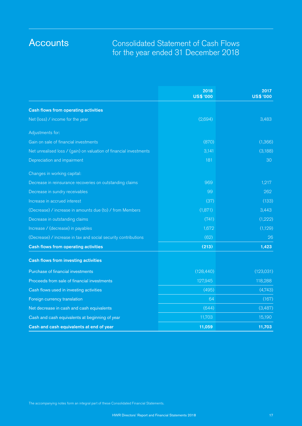### Consolidated Statement of Cash Flows for the year ended 31 December 2018

|                                                                    | 2018<br><b>US\$ '000</b> | 2017<br><b>US\$ '000</b> |
|--------------------------------------------------------------------|--------------------------|--------------------------|
| <b>Cash flows from operating activities</b>                        |                          |                          |
| Net (loss) / income for the year                                   | (2,694)                  | 3,483                    |
| Adjustments for:                                                   |                          |                          |
| Gain on sale of financial investments                              | (870)                    | (1,366)                  |
| Net unrealised loss / (gain) on valuation of financial investments | 3,141                    | (3,188)                  |
| Depreciation and impairment                                        | 181                      | 30                       |
| Changes in working capital:                                        |                          |                          |
| Decrease in reinsurance recoveries on outstanding claims           | 969                      | 1,217                    |
| Decrease in sundry receivables                                     | 99                       | 262                      |
| Increase in accrued interest                                       | (37)                     | (133)                    |
| (Decrease) / increase in amounts due (to) / from Members           | (1,871)                  | 3,443                    |
| Decrease in outstanding claims                                     | (741)                    | (1,222)                  |
| Increase / (decrease) in payables                                  | 1,672                    | (1,129)                  |
| (Decrease) / increase in tax and social security contributions     | (62)                     | 26                       |
| <b>Cash flows from operating activities</b>                        | (213)                    | 1,423                    |
| <b>Cash flows from investing activities</b>                        |                          |                          |
| Purchase of financial investments                                  | (128, 440)               | (123,031)                |
| Proceeds from sale of financial investments                        | 127,945                  | 118,288                  |
| Cash flows used in investing activities                            | (495)                    | (4,743)                  |
| Foreign currency translation                                       | 64                       | (167)                    |
| Net decrease in cash and cash equivalents                          | (644)                    | (3,487)                  |
| Cash and cash equivalents at beginning of year                     | 11,703                   | 15,190                   |
| Cash and cash equivalents at end of year                           | 11,059                   | 11,703                   |

The accompanying notes form an integral part of these Consolidated Financial Statements.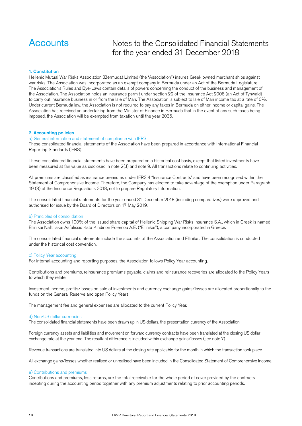### Notes to the Consolidated Financial Statements for the year ended 31 December 2018

#### 1. Constitution

Hellenic Mutual War Risks Association (Bermuda) Limited (the "Association") insures Greek owned merchant ships against war risks. The Association was incorporated as an exempt company in Bermuda under an Act of the Bermuda Legislature. The Association's Rules and Bye-Laws contain details of powers concerning the conduct of the business and management of the Association. The Association holds an insurance permit under section 22 of the Insurance Act 2008 (an Act of Tynwald) to carry out insurance business in or from the Isle of Man. The Association is subject to Isle of Man income tax at a rate of 0%. Under current Bermuda law, the Association is not required to pay any taxes in Bermuda on either income or capital gains. The Association has received an undertaking from the Minister of Finance in Bermuda that in the event of any such taxes being imposed, the Association will be exempted from taxation until the year 2035.

#### 2. Accounting policies

#### a) General information and statement of compliance with IFRS

These consolidated financial statements of the Association have been prepared in accordance with International Financial Reporting Standards (IFRS).

These consolidated financial statements have been prepared on a historical cost basis, except that listed investments have been measured at fair value as disclosed in note 2(J) and note 9. All transactions relate to continuing activities.

All premiums are classified as insurance premiums under IFRS 4 "Insurance Contracts" and have been recognised within the Statement of Comprehensive Income. Therefore, the Company has elected to take advantage of the exemption under Paragraph 19 (3) of the Insurance Regulations 2018, not to prepare Regulatory Information.

The consolidated financial statements for the year ended 31 December 2018 (including comparatives) were approved and authorised for issue by the Board of Directors on 17 May 2019.

#### b) Principles of consolidation

The Association owns 100% of the issued share capital of Hellenic Shipping War Risks Insurance S.A., which in Greek is named Ellinikai Naftiliakai Asfalissis Kata Kindinon Polemou A.E. ("Ellinikai"), a company incorporated in Greece.

The consolidated financial statements include the accounts of the Association and Ellinikai. The consolidation is conducted under the historical cost convention.

#### c) Policy Year accounting

For internal accounting and reporting purposes, the Association follows Policy Year accounting.

Contributions and premiums, reinsurance premiums payable, claims and reinsurance recoveries are allocated to the Policy Years to which they relate.

Investment income, profits/losses on sale of investments and currency exchange gains/losses are allocated proportionally to the funds on the General Reserve and open Policy Years.

The management fee and general expenses are allocated to the current Policy Year.

#### d) Non-US dollar currencies

The consolidated financial statements have been drawn up in US dollars, the presentation currency of the Association.

Foreign currency assets and liabilities and movement on forward currency contracts have been translated at the closing US dollar exchange rate at the year end. The resultant difference is included within exchange gains/losses (see note 7).

Revenue transactions are translated into US dollars at the closing rate applicable for the month in which the transaction took place.

All exchange gains/losses whether realised or unrealised have been included in the Consolidated Statement of Comprehensive Income.

#### e) Contributions and premiums

Contributions and premiums, less returns, are the total receivable for the whole period of cover provided by the contracts incepting during the accounting period together with any premium adjustments relating to prior accounting periods.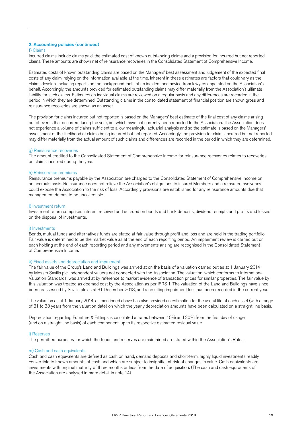#### 2. Accounting policies (continued)

#### f) Claims

Incurred claims include claims paid, the estimated cost of known outstanding claims and a provision for incurred but not reported claims. These amounts are shown net of reinsurance recoveries in the Consolidated Statement of Comprehensive Income.

Estimated costs of known outstanding claims are based on the Managers' best assessment and judgement of the expected final costs of any claim, relying on the information available at the time. Inherent in these estimates are factors that could vary as the claims develop, including reports on the background facts of an incident and advice from lawyers appointed on the Association's behalf. Accordingly, the amounts provided for estimated outstanding claims may differ materially from the Association's ultimate liability for such claims. Estimates on individual claims are reviewed on a regular basis and any differences are recorded in the period in which they are determined. Outstanding claims in the consolidated statement of financial position are shown gross and reinsurance recoveries are shown as an asset.

The provision for claims incurred but not reported is based on the Managers' best estimate of the final cost of any claims arising out of events that occurred during the year, but which have not currently been reported to the Association. The Association does not experience a volume of claims sufficient to allow meaningful actuarial analysis and so the estimate is based on the Managers' assessment of the likelihood of claims being incurred but not reported. Accordingly, the provision for claims incurred but not reported may differ materially from the actual amount of such claims and differences are recorded in the period in which they are determined.

#### g) Reinsurance recoveries

The amount credited to the Consolidated Statement of Comprehensive Income for reinsurance recoveries relates to recoveries on claims incurred during the year.

#### h) Reinsurance premiums

Reinsurance premiums payable by the Association are charged to the Consolidated Statement of Comprehensive Income on an accruals basis. Reinsurance does not relieve the Association's obligations to insured Members and a reinsurer insolvency could expose the Association to the risk of loss. Accordingly provisions are established for any reinsurance amounts due that management deems to be uncollectible.

#### I) Investment return

Investment return comprises interest received and accrued on bonds and bank deposits, dividend receipts and profits and losses on the disposal of investments.

#### j) Investments

Bonds, mutual funds and alternatives funds are stated at fair value through profit and loss and are held in the trading portfolio. Fair value is determined to be the market value as at the end of each reporting period. An impairment review is carried out on each holding at the end of each reporting period and any movements arising are recognised in the Consolidated Statement of Comprehensive Income.

#### k) Fixed assets and depreciation and impairment

The fair value of the Group's Land and Buildings was arrived at on the basis of a valuation carried out as at 1 January 2014 by Messrs Savills plc, independent valuers not connected with the Association. The valuation, which conforms to International Valuation Standards, was arrived at by reference to market evidence of transaction prices for similar properties. The fair value by this valuation was treated as deemed cost by the Association as per IFRS 1. The valuation of the Land and Buildings have since been reassessed by Savills plc as at 31 December 2018, and a resulting impairment loss has been recorded in the current year.

The valuation as at 1 January 2014, as mentioned above has also provided an estimation for the useful life of each asset (with a range of 31 to 33 years from the valuation date) on which the yearly depreciation amounts have been calculated on a straight line basis.

Depreciation regarding Furniture & Fittings is calculated at rates between 10% and 20% from the first day of usage (and on a straight line basis) of each component, up to its respective estimated residual value.

#### l) Reserves

The permitted purposes for which the funds and reserves are maintained are stated within the Association's Rules.

#### m) Cash and cash equivalents

Cash and cash equivalents are defined as cash on hand, demand deposits and short-term, highly liquid investments readily convertible to known amounts of cash and which are subject to insignificant risk of changes in value. Cash equivalents are investments with original maturity of three months or less from the date of acquisition. (The cash and cash equivalents of the Association are analysed in more detail in note 14).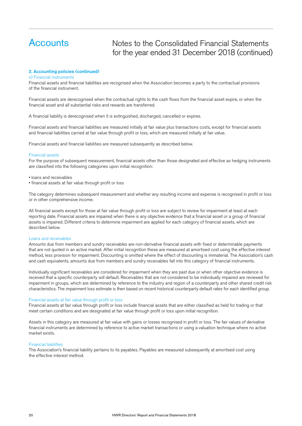### Notes to the Consolidated Financial Statements for the year ended 31 December 2018 (continued)

#### 2. Accounting policies (continued)

#### n) Financial instruments

Financial assets and financial liabilities are recognised when the Association becomes a party to the contractual provisions of the financial instrument.

Financial assets are derecognised when the contractual rights to the cash flows from the financial asset expire, or when the financial asset and all substantial risks and rewards are transferred.

A financial liability is derecognised when it is extinguished, discharged, cancelled or expires.

Financial assets and financial liabilities are measured initially at fair value plus transactions costs, except for financial assets and financial liabilities carried at fair value through profit or loss, which are measured initially at fair value.

Financial assets and financial liabilities are measured subsequently as described below.

#### Financial assets

For the purpose of subsequent measurement, financial assets other than those designated and effective as hedging instruments are classified into the following categories upon initial recognition:

- loans and receivables
- financial assets at fair value through profit or loss

The category determines subsequent measurement and whether any resulting income and expense is recognised in profit or loss or in other comprehensive income.

All financial assets except for those at fair value through profit or loss are subject to review for impairment at least at each reporting date. Financial assets are impaired when there is any objective evidence that a financial asset or a group of financial assets is impaired. Different criteria to determine impairment are applied for each category of financial assets, which are described below.

#### Loans and receivables

Amounts due from members and sundry receivables are non-derivative financial assets with fixed or determinable payments that are not quoted in an active market. After initial recognition these are measured at amortised cost using the effective interest method, less provision for impairment. Discounting is omitted where the effect of discounting is immaterial. The Association's cash and cash equivalents, amounts due from members and sundry receivables fall into this category of financial instruments.

Individually significant receivables are considered for impairment when they are past due or when other objective evidence is received that a specific counterparty will default. Receivables that are not considered to be individually impaired are reviewed for impairment in groups, which are determined by reference to the industry and region of a counterparty and other shared credit risk characteristics. The impairment loss estimate is then based on recent historical counterparty default rates for each identified group.

#### Financial assets at fair value through profit or loss

Financial assets at fair value through profit or loss include financial assets that are either classified as held for trading or that meet certain conditions and are designated at fair value through profit or loss upon initial recognition.

Assets in this category are measured at fair value with gains or losses recognised in profit or loss. The fair values of derivative financial instruments are determined by reference to active market transactions or using a valuation technique where no active market exists.

#### Financial liabilities

The Association's financial liability pertains to its payables. Payables are measured subsequently at amortised cost using the effective interest method.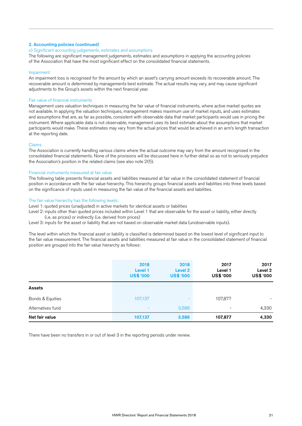#### 2. Accounting policies (continued)

#### o) Significant accounting judgements, estimates and assumptions

The following are significant management judgements, estimates and assumptions in applying the accounting policies of the Association that have the most significant effect on the consolidated financial statements.

#### Impairment

An impairment loss is recognised for the amount by which an asset's carrying amount exceeds its recoverable amount. The recoverable amount is determined by managements best estimate. The actual results may vary, and may cause significant adjustments to the Group's assets within the next financial year.

#### Fair value of financial instruments

Management uses valuation techniques in measuring the fair value of financial instruments, where active market quotes are not available. In applying the valuation techniques, management makes maximum use of market inputs, and uses estimates and assumptions that are, as far as possible, consistent with observable data that market participants would use in pricing the instrument. Where applicable data is not observable, management uses its best estimate about the assumptions that market participants would make. These estimates may vary from the actual prices that would be achieved in an arm's length transaction at the reporting date.

#### Claims

The Association is currently handling various claims where the actual outcome may vary from the amount recognised in the consolidated financial statements. None of the provisions will be discussed here in further detail so as not to seriously prejudice the Association's position in the related claims (see also note 2(f)).

#### Financial instruments measured at fair value

The following table presents financial assets and liabilities measured at fair value in the consolidated statement of financial position in accordance with the fair value hierarchy. This hierarchy groups financial assets and liabilities into three levels based on the significance of inputs used in measuring the fair value of the financial assets and liabilities.

#### The fair value hierarchy has the following levels:

Level 1: quoted prices (unadjusted) in active markets for identical assets or liabilities

Level 2: inputs other than quoted prices included within Level 1 that are observable for the asset or liability, either directly (i.e. as prices) or indirectly (i.e. derived from prices)

Level 3: inputs for the asset or liability that are not based on observable market data (unobservable inputs).

The level within which the financial asset or liability is classified is determined based on the lowest level of significant input to the fair value measurement. The financial assets and liabilities measured at fair value in the consolidated statement of financial position are grouped into the fair value hierarchy as follows:

|                   | 2018<br>Level 1<br><b>US\$ '000</b> | 2018<br>Level <sub>2</sub><br><b>US\$ '000</b> | 2017<br>Level 1<br>US\$ '000 | 2017<br>Level 2<br>US\$ '000 |
|-------------------|-------------------------------------|------------------------------------------------|------------------------------|------------------------------|
| <b>Assets</b>     |                                     |                                                |                              |                              |
| Bonds & Equities  | 107,137                             |                                                | 107,877                      |                              |
| Alternatives fund | $\overline{\phantom{a}}$            | 3,586                                          | -                            | 4,330                        |
| Net fair value    | 107,137                             | 3,586                                          | 107,877                      | 4,330                        |

There have been no transfers in or out of level 3 in the reporting periods under review.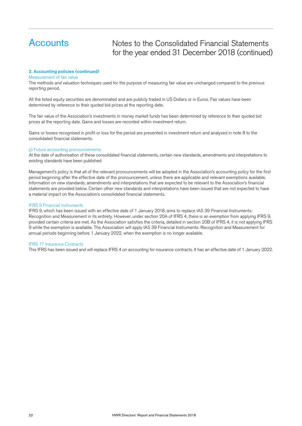Notes to the Consolidated Financial Statements for the year ended 31 December 2018 (continued)

#### 2. Accounting policies (continued)

Measurement of fair value

The methods and valuation techniques used for the purpose of measuring fair value are unchanged compared to the previous reporting period.

All the listed equity securities are denominated and are publicly traded in US Dollars or in Euros. Fair values have been determined by reference to their quoted bid prices at the reporting date.

The fair value of the Association's investments in money market funds has been determined by reference to their quoted bid prices at the reporting date. Gains and losses are recorded within investment return.

Gains or losses recognised in profit or loss for the period are presented in investment return and analysed in note 8 to the consolidated financial statements.

#### p) Future accounting pronouncements

At the date of authorisation of these consolidated financial statements, certain new standards, amendments and interpretations to existing standards have been published.

Management's policy is that all of the relevant pronouncements will be adopted in the Association's accounting policy for the first period beginning after the effective date of the pronouncement, unless there are applicable and relevant exemptions available. Information on new standards, amendments and interpretations that are expected to be relevant to the Association's financial statements are provided below. Certain other new standards and interpretations have been issued that are not expected to have a material impact on the Association's consolidated financial statements.

#### IFRS 9 Financial instruments

IFRS 9, which has been issued with an effective date of 1 January 2018, aims to replace IAS 39 Financial Instruments: Recognition and Measurement in its entirety. However, under section 20A of IFRS 4, there is an exemption from applying IFRS 9, provided certain criteria are met. As the Association satisfies the criteria, detailed in section 20B of IFRS 4, it is not applying IFRS 9 while the exemption is available. The Association will apply IAS 39 Financial Instruments: Recognition and Measurement for annual periods beginning before 1 January 2022, when the exemption is no longer available.

#### IFRS 17 Insurance Contracts

This IFRS has been issued and will replace IFRS 4 on accounting for insurance contracts. It has an effective date of 1 January 2022.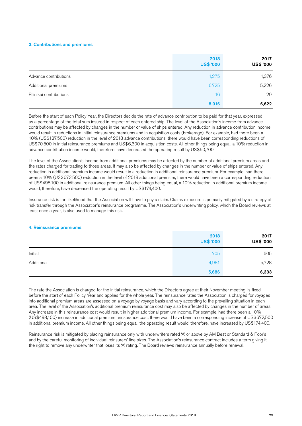#### 3. Contributions and premiums

|                         | 2018<br><b>US\$ '000</b> | 2017<br>US\$ '000 |
|-------------------------|--------------------------|-------------------|
| Advance contributions   | 1,275                    | 1,376             |
| Additional premiums     | 6,725                    | 5,226             |
| Ellinikai contributions | 16                       | 20                |
|                         | 8,016                    | 6,622             |

Before the start of each Policy Year, the Directors decide the rate of advance contribution to be paid for that year, expressed as a percentage of the total sum insured in respect of each entered ship. The level of the Association's income from advance contributions may be affected by changes in the number or value of ships entered. Any reduction in advance contribution income would result in reductions in initial reinsurance premiums and in acquisition costs (brokerage). For example, had there been a 10% (US\$127,500) reduction in the level of 2018 advance contributions, there would have been corresponding reductions of US\$70,500 in initial reinsurance premiums and US\$6,300 in acquisition costs. All other things being equal, a 10% reduction in advance contribution income would, therefore, have decreased the operating result by US\$50,700.

The level of the Association's income from additional premiums may be affected by the number of additional premium areas and the rates charged for trading to those areas. It may also be affected by changes in the number or value of ships entered. Any reduction in additional premium income would result in a reduction in additional reinsurance premium. For example, had there been a 10% (US\$672,500) reduction in the level of 2018 additional premium, there would have been a corresponding reduction of US\$498,100 in additional reinsurance premium. All other things being equal, a 10% reduction in additional premium income would, therefore, have decreased the operating result by US\$174,400.

Insurance risk is the likelihood that the Association will have to pay a claim. Claims exposure is primarily mitigated by a strategy of risk transfer through the Association's reinsurance programme. The Association's underwriting policy, which the Board reviews at least once a year, is also used to manage this risk.

#### 4. Reinsurance premiums

|            | 2018<br><b>US\$ '000</b> | 2017<br>US\$ '000 |
|------------|--------------------------|-------------------|
| Initial    | 705                      | 605               |
| Additional | 4,981                    | 5,728             |
|            | 5,686                    | 6,333             |

The rate the Association is charged for the initial reinsurance, which the Directors agree at their November meeting, is fixed before the start of each Policy Year and applies for the whole year. The reinsurance rates the Association is charged for voyages into additional premium areas are assessed on a voyage by voyage basis and vary according to the prevailing situation in each area. The level of the Association's additional premium reinsurance cost may also be affected by changes in the number of areas. Any increase in this reinsurance cost would result in higher additional premium income. For example, had there been a 10% (US\$498,100) increase in additional premium reinsurance cost, there would have been a corresponding increase of US\$672,500 in additional premium income. All other things being equal, the operating result would, therefore, have increased by US\$174,400.

Reinsurance risk is mitigated by placing reinsurance only with underwriters rated 'A' or above by AM Best or Standard & Poor's and by the careful monitoring of individual reinsurers' line sizes. The Association's reinsurance contract includes a term giving it the right to remove any underwriter that loses its 'A' rating. The Board reviews reinsurance annually before renewal.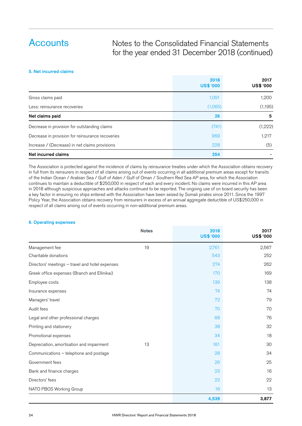### Notes to the Consolidated Financial Statements for the year ended 31 December 2018 (continued)

#### 5. Net incurred claims

|                                                  | 2018<br><b>US\$ '000</b> | 2017<br>US\$ '000 |
|--------------------------------------------------|--------------------------|-------------------|
| Gross claims paid                                | 1,091                    | 1,200             |
| Less: reinsurance recoveries                     | (1,065)                  | (1, 195)          |
| Net claims paid                                  | 26                       | 5                 |
| Decrease in provision for outstanding claims     | (741)                    | (1,222)           |
| Decrease in provision for reinsurance recoveries | 969                      | 1,217             |
| Increase / (Decrease) in net claims provisions   | 228                      | (5)               |
| Net incurred claims                              | 254                      |                   |

The Association is protected against the incidence of claims by reinsurance treaties under which the Association obtains recovery in full from its reinsurers in respect of all claims arising out of events occurring in all additional premium areas except for transits of the Indian Ocean / Arabian Sea / Gulf of Aden / Gulf of Oman / Southern Red Sea AP area, for which the Association continues to maintain a deductible of \$250,000 in respect of each and every incident. No claims were incurred in this AP area in 2018 although suspicious approaches and attacks continued to be reported. The ongoing use of on board security has been a key factor in ensuring no ships entered with the Association have been seized by Somali pirates since 2011. Since the 1997 Policy Year, the Association obtains recovery from reinsurers in excess of an annual aggregate deductible of US\$250,000 in respect of all claims arising out of events occurring in non-additional premium areas.

#### 6. Operating expenses

|                                                 | <b>Notes</b> | 2018<br><b>US\$ '000</b> | 2017<br>US\$ '000 |
|-------------------------------------------------|--------------|--------------------------|-------------------|
| Management fee                                  | 19           | 2,761                    | 2,567             |
| Charitable donations                            |              | 543                      | 252               |
| Directors' meetings - travel and hotel expenses |              | 274                      | 262               |
| Greek office expenses (Branch and Ellinikai)    |              | 170                      | 169               |
| Employee costs                                  |              | 139                      | 138               |
| Insurance expenses                              |              | 74                       | 74                |
| Managers' travel                                |              | 72                       | 79                |
| Audit fees                                      |              | 70                       | 70                |
| Legal and other professional charges            |              | 68                       | 76                |
| Printing and stationery                         |              | 38                       | 32                |
| Promotional expenses                            |              | 34                       | 18                |
| Depreciation, amortisation and impairment       | 13           | 181                      | 30                |
| Communications - telephone and postage          |              | 28                       | 34                |
| Government fees                                 |              | 26                       | 25                |
| Bank and finance charges                        |              | 23                       | 16                |
| Directors' fees                                 |              | 22                       | 22                |
| NATO PBOS Working Group                         |              | 16                       | 13                |
|                                                 |              | 4,539                    | 3,877             |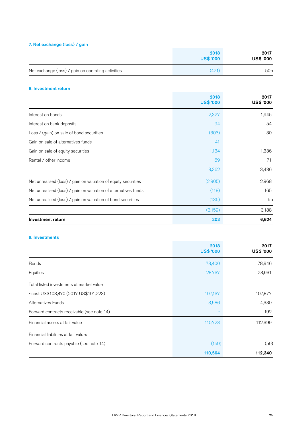#### 7. Net exchange (loss) / gain

|                                                    | 2018<br><b>US\$ '000</b> | 2017<br><b>US\$ '000</b> |
|----------------------------------------------------|--------------------------|--------------------------|
| Net exchange (loss) / gain on operating activities | (421)                    | 505                      |

#### 8. Investment return

|                                                                 | 2018<br><b>US\$ '000</b> | 2017<br>US\$ '000 |
|-----------------------------------------------------------------|--------------------------|-------------------|
| Interest on bonds                                               | 2,327                    | 1,945             |
| Interest on bank deposits                                       | 94                       | 54                |
| Loss / (gain) on sale of bond securities                        | (303)                    | 30                |
| Gain on sale of alternatives funds                              | 41                       |                   |
| Gain on sale of equity securities                               | 1,134                    | 1,336             |
| Rental / other income                                           | 69                       | 71                |
|                                                                 | 3,362                    | 3,436             |
| Net unrealised (loss) / gain on valuation of equity securities  | (2,905)                  | 2,968             |
| Net unrealised (loss) / gain on valuation of alternatives funds | (118)                    | 165               |
| Net unrealised (loss) / gain on valuation of bond securities    | (136)                    | 55                |
|                                                                 | (3,159)                  | 3,188             |
| Investment return                                               | 203                      | 6,624             |

#### 9. Investments

|                                            | 2018<br><b>US\$ '000</b> | 2017<br>US\$ '000 |
|--------------------------------------------|--------------------------|-------------------|
| <b>Bonds</b>                               | 78,400                   | 78,946            |
| Equities                                   | 28,737                   | 28,931            |
| Total listed investments at market value   |                          |                   |
| - cost US\$103,470 (2017 US\$101,223)      | 107,137                  | 107,877           |
| Alternatives Funds                         | 3,586                    | 4,330             |
| Forward contracts receivable (see note 14) |                          | 192               |
| Financial assets at fair value             | 110,723                  | 112,399           |
| Financial liabilities at fair value:       |                          |                   |
| Forward contracts payable (see note 14)    | (159)                    | (59)              |
|                                            | 110,564                  | 112,340           |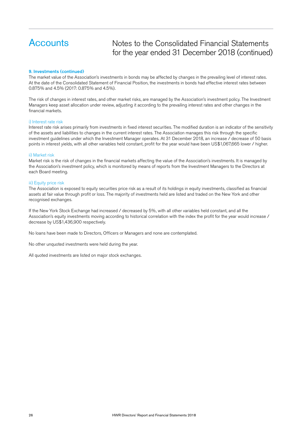### Notes to the Consolidated Financial Statements for the year ended 31 December 2018 (continued)

#### 9. Investments (continued)

The market value of the Association's investments in bonds may be affected by changes in the prevailing level of interest rates. At the date of the Consolidated Statement of Financial Position, the investments in bonds had effective interest rates between 0.875% and 4.5% (2017: 0.875% and 4.5%).

The risk of changes in interest rates, and other market risks, are managed by the Association's investment policy. The Investment Managers keep asset allocation under review, adjusting it according to the prevailing interest rates and other changes in the financial markets.

#### i) Interest rate risk

Interest rate risk arises primarily from investments in fixed interest securities. The modified duration is an indicator of the sensitivity of the assets and liabilities to changes in the current interest rates. The Association manages this risk through the specific investment guidelines under which the Investment Manager operates. At 31 December 2018, an increase / decrease of 50 basis points in interest yields, with all other variables held constant, profit for the year would have been US\$1,067,665 lower / higher.

#### ii) Market risk

Market risk is the risk of changes in the financial markets affecting the value of the Association's investments. It is managed by the Association's investment policy, which is monitored by means of reports from the Investment Managers to the Directors at each Board meeting.

#### iii) Equity price risk

The Association is exposed to equity securities price risk as a result of its holdings in equity investments, classified as financial assets at fair value through profit or loss. The majority of investments held are listed and traded on the New York and other recognised exchanges.

If the New York Stock Exchange had increased / decreased by 5%, with all other variables held constant, and all the Association's equity investments moving according to historical correlation with the index the profit for the year would increase / decrease by US\$1,436,900 respectively.

No loans have been made to Directors, Officers or Managers and none are contemplated.

No other unquoted investments were held during the year.

All quoted investments are listed on major stock exchanges.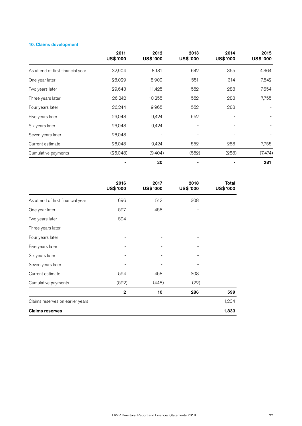### 10. Claims development

|                                   | 2011<br>US\$ '000 | 2012<br>US\$ '000 | 2013<br>US\$ '000 | 2014<br>US\$ '000 | 2015<br><b>US\$ '000</b> |
|-----------------------------------|-------------------|-------------------|-------------------|-------------------|--------------------------|
| As at end of first financial year | 32,904            | 8,181             | 642               | 365               | 4,364                    |
| One year later                    | 28,029            | 8,909             | 551               | 314               | 7,542                    |
| Two years later                   | 29,643            | 11,425            | 552               | 288               | 7,654                    |
| Three years later                 | 26,242            | 10,255            | 552               | 288               | 7,755                    |
| Four years later                  | 26,244            | 9,965             | 552               | 288               |                          |
| Five years later                  | 26,048            | 9,424             | 552               |                   |                          |
| Six years later                   | 26,048            | 9,424             |                   |                   |                          |
| Seven years later                 | 26,048            |                   |                   |                   |                          |
| Current estimate                  | 26,048            | 9,424             | 552               | 288               | 7,755                    |
| Cumulative payments               | (26, 048)         | (9,404)           | (552)             | (288)             | (7, 474)                 |
|                                   |                   | 20                |                   |                   | 281                      |

|                                   | 2016<br>US\$ '000 | 2017<br>US\$ '000 | 2018<br>US\$ '000 | Total<br>US\$ '000 |
|-----------------------------------|-------------------|-------------------|-------------------|--------------------|
| As at end of first financial year | 696               | 512               | 308               |                    |
| One year later                    | 597               | 458               |                   |                    |
| Two years later                   | 594               |                   |                   |                    |
| Three years later                 |                   |                   |                   |                    |
| Four years later                  |                   |                   |                   |                    |
| Five years later                  |                   |                   |                   |                    |
| Six years later                   |                   |                   |                   |                    |
| Seven years later                 |                   |                   |                   |                    |
| Current estimate                  | 594               | 458               | 308               |                    |
| Cumulative payments               | (592)             | (448)             | (22)              |                    |
|                                   | $\overline{2}$    | 10                | 286               | 599                |
| Claims reserves on earlier years  |                   |                   |                   | 1,234              |
| <b>Claims reserves</b>            |                   |                   |                   | 1,833              |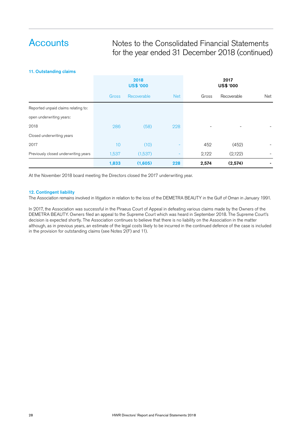### Notes to the Consolidated Financial Statements for the year ended 31 December 2018 (continued)

#### 11. Outstanding claims

|                                      | 2018<br><b>US\$ '000</b> |             |            | 2017<br>US\$ '000 |             |     |
|--------------------------------------|--------------------------|-------------|------------|-------------------|-------------|-----|
|                                      | Gross                    | Recoverable | <b>Net</b> | Gross             | Recoverable | Net |
| Reported unpaid claims relating to:  |                          |             |            |                   |             |     |
| open underwriting years:             |                          |             |            |                   |             |     |
| 2018                                 | 286                      | (58)        | 228        |                   |             |     |
| Closed underwriting years            |                          |             |            |                   |             |     |
| 2017                                 | 10                       | (10)        |            | 452               | (452)       |     |
| Previously closed underwriting years | 1,537                    | (1,537)     |            | 2,122             | (2,122)     |     |
|                                      | 1,833                    | (1,605)     | 228        | 2,574             | (2,574)     |     |

At the November 2018 board meeting the Directors closed the 2017 underwriting year.

#### 12. Contingent liability

The Association remains involved in litigation in relation to the loss of the DEMETRA BEAUTY in the Gulf of Oman in January 1991.

In 2017, the Association was successful in the Piraeus Court of Appeal in defeating various claims made by the Owners of the DEMETRA BEAUTY. Owners filed an appeal to the Supreme Court which was heard in September 2018. The Supreme Court's decision is expected shortly. The Association continues to believe that there is no liability on the Association in the matter although, as in previous years, an estimate of the legal costs likely to be incurred in the continued defence of the case is included in the provision for outstanding claims (see Notes 2(F) and 11).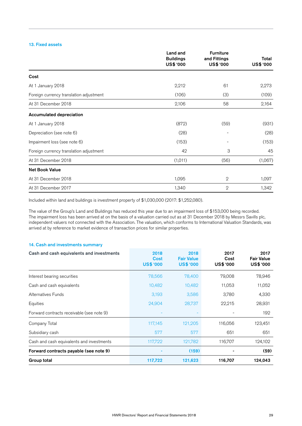#### 13. Fixed assets

|                                         | Land and<br><b>Buildings</b> | <b>Furniture</b><br>and Fittings | Total     |
|-----------------------------------------|------------------------------|----------------------------------|-----------|
|                                         | US\$ '000                    | US\$ '000                        | US\$ '000 |
| Cost                                    |                              |                                  |           |
| At 1 January 2018                       | 2,212                        | 61                               | 2,273     |
| Foreign currency translation adjustment | (106)                        | (3)                              | (109)     |
| At 31 December 2018                     | 2,106                        | 58                               | 2,164     |
| <b>Accumulated depreciation</b>         |                              |                                  |           |
| At 1 January 2018                       | (872)                        | (59)                             | (931)     |
| Depreciation (see note 6)               | (28)                         |                                  | (28)      |
| Impairment loss (see note 6)            | (153)                        |                                  | (153)     |
| Foreign currency translation adjustment | 42                           | 3                                | 45        |
| At 31 December 2018                     | (1,011)                      | (56)                             | (1,067)   |
| <b>Net Book Value</b>                   |                              |                                  |           |
| At 31 December 2018                     | 1,095                        | $\mathbf 2$                      | 1,097     |
| At 31 December 2017                     | 1,340                        | $\mathbf{2}$                     | 1,342     |

Included within land and buildings is investment property of \$1,030,000 (2017: \$1,252,080).

The value of the Group's Land and Buildings has reduced this year due to an impairment loss of \$153,000 being recorded. The impairment loss has been arrived at on the basis of a valuation carried out as at 31 December 2018 by Messrs Savills plc, independent valuers not connected with the Association. The valuation, which conforms to International Valuation Standards, was arrived at by reference to market evidence of transaction prices for similar properties.

#### 14. Cash and investments summary

| Cash and cash equivalents and investments | 2018<br>Cost<br><b>US\$ '000</b> | 2018<br><b>Fair Value</b><br><b>US\$ '000</b> | 2017<br>Cost<br>US\$ '000 | 2017<br><b>Fair Value</b><br>US\$ '000 |
|-------------------------------------------|----------------------------------|-----------------------------------------------|---------------------------|----------------------------------------|
| Interest bearing securities               | 78,566                           | 78,400                                        | 79,008                    | 78,946                                 |
| Cash and cash equivalents                 | 10,482                           | 10,482                                        | 11,053                    | 11,052                                 |
| Alternatives Funds                        | 3,193                            | 3,586                                         | 3,780                     | 4,330                                  |
| Equities                                  | 24,904                           | 28,737                                        | 22,215                    | 28,931                                 |
| Forward contracts receivable (see note 9) |                                  |                                               |                           | 192                                    |
| Company Total                             | 117,145                          | 121,205                                       | 116,056                   | 123,451                                |
| Subsidiary cash                           | 577                              | 577                                           | 651                       | 651                                    |
| Cash and cash equivalents and investments | 117,722                          | 121,782                                       | 116,707                   | 124,102                                |
| Forward contracts payable (see note 9)    |                                  | (159)                                         |                           | (59)                                   |
| Group total                               | 117,722                          | 121,623                                       | 116,707                   | 124,043                                |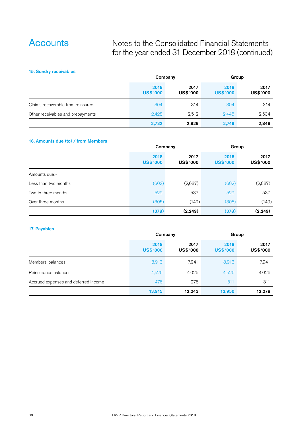### Notes to the Consolidated Financial Statements for the year ended 31 December 2018 (continued)

#### 15. Sundry receivables

|                                    | Company                  |                          | Group                    |                   |
|------------------------------------|--------------------------|--------------------------|--------------------------|-------------------|
|                                    | 2018<br><b>US\$ '000</b> | 2017<br><b>US\$ '000</b> | 2018<br><b>US\$ '000</b> | 2017<br>US\$ '000 |
| Claims recoverable from reinsurers | 304                      | 314                      | 304                      | 314               |
| Other receivables and prepayments  | 2,428                    | 2,512                    | 2,445                    | 2,534             |
|                                    | 2,732                    | 2,826                    | 2,749                    | 2,848             |

#### 16. Amounts due (to) / from Members

|                      | Company                  |                          | Group                    |                   |
|----------------------|--------------------------|--------------------------|--------------------------|-------------------|
|                      | 2018<br><b>US\$ '000</b> | 2017<br><b>US\$ '000</b> | 2018<br><b>US\$ '000</b> | 2017<br>US\$ '000 |
| Amounts due:-        |                          |                          |                          |                   |
| Less than two months | (602)                    | (2,637)                  | (602)                    | (2,637)           |
| Two to three months  | 529                      | 537                      | 529                      | 537               |
| Over three months    | (305)                    | (149)                    | (305)                    | (149)             |
|                      | (378)                    | (2, 249)                 | (378)                    | (2, 249)          |

#### 17. Payables

|                                      | Company                  |                          | Group                    |                   |
|--------------------------------------|--------------------------|--------------------------|--------------------------|-------------------|
|                                      | 2018<br><b>US\$ '000</b> | 2017<br><b>US\$ '000</b> | 2018<br><b>US\$ '000</b> | 2017<br>US\$ '000 |
| Members' balances                    | 8,913                    | 7,941                    | 8,913                    | 7,941             |
| Reinsurance balances                 | 4,526                    | 4,026                    | 4,526                    | 4,026             |
| Accrued expenses and deferred income | 476                      | 276                      | 511                      | 311               |
|                                      | 13,915                   | 12,243                   | 13,950                   | 12,278            |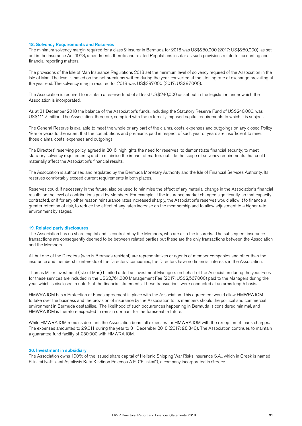#### 18. Solvency Requirements and Reserves

The minimum solvency margin required for a class 2 insurer in Bermuda for 2018 was US\$250,000 (2017: US\$250,000), as set out in the Insurance Act 1978, amendments thereto and related Regulations insofar as such provisions relate to accounting and financial reporting matters.

The provisions of the Isle of Man Insurance Regulations 2018 set the minimum level of solvency required of the Association in the Isle of Man. The level is based on the net premiums written during the year, converted at the sterling rate of exchange prevailing at the year end. The solvency margin required for 2018 was US\$297,000 (2017: US\$97,000).

The Association is required to maintain a reserve fund of at least US\$240,000 as set out in the legislation under which the Association is incorporated.

As at 31 December 2018 the balance of the Association's funds, including the Statutory Reserve Fund of US\$240,000, was US\$111.2 million. The Association, therefore, complied with the externally imposed capital requirements to which it is subject.

The General Reserve is available to meet the whole or any part of the claims, costs, expenses and outgoings on any closed Policy Year or years to the extent that the contributions and premiums paid in respect of such year or years are insufficient to meet those claims, costs, expenses and outgoings.

The Directors' reserving policy, agreed in 2016, highlights the need for reserves: to demonstrate financial security; to meet statutory solvency requirements; and to minimise the impact of matters outside the scope of solvency requirements that could materially affect the Association's financial results.

The Association is authorised and regulated by the Bermuda Monetary Authority and the Isle of Financial Services Authority. Its reserves comfortably exceed current requirements in both places.

Reserves could, if necessary in the future, also be used to minimise the effect of any material change in the Association's financial results on the level of contributions paid by Members. For example, if the insurance market changed significantly, so that capacity contracted, or if for any other reason reinsurance rates increased sharply, the Association's reserves would allow it to finance a greater retention of risk, to reduce the effect of any rates increase on the membership and to allow adjustment to a higher rate environment by stages.

#### 19. Related party disclosures

The Association has no share capital and is controlled by the Members, who are also the insureds. The subsequent insurance transactions are consequently deemed to be between related parties but these are the only transactions between the Association and the Members.

All but one of the Directors (who is Bermuda resident) are representatives or agents of member companies and other than the insurance and membership interests of the Directors' companies, the Directors have no financial interests in the Association.

Thomas Miller Investment (Isle of Man) Limited acted as Investment Managers on behalf of the Association during the year. Fees for these services are included in the US\$2,761,000 Management Fee (2017: US\$2,567,000) paid to the Managers during the year, which is disclosed in note 6 of the financial statements. These transactions were conducted at an arms length basis.

HMWRA IOM has a Protection of Funds agreement in place with the Association. This agreement would allow HMWRA IOM to take over the business and the provision of insurance by the Association to its members should the political and commercial environment in Bermuda destabilise. The likelihood of such occurrences happening in Bermuda is considered minimal, and HMWRA IOM is therefore expected to remain dormant for the foreseeable future.

While HMWRA IOM remains dormant, the Association bears all expenses for HMWRA IOM with the exception of bank charges. The expenses amounted to £9,011 during the year to 31 December 2018 (2017: £8,840). The Association continues to maintain a guarantee fund facility of £50,000 with HMWRA IOM.

#### 20. Investment in subsidiary

The Association owns 100% of the issued share capital of Hellenic Shipping War Risks Insurance S.A., which in Greek is named Ellinikai Naftiliakai Asfalissis Kata Kindinon Polemou A.E. ("Ellinikai"), a company incorporated in Greece.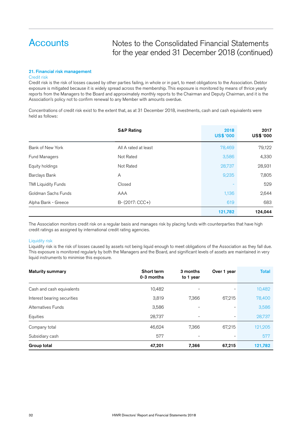### Notes to the Consolidated Financial Statements for the year ended 31 December 2018 (continued)

#### 21. Financial risk management

#### Credit risk

Credit risk is the risk of losses caused by other parties failing, in whole or in part, to meet obligations to the Association. Debtor exposure is mitigated because it is widely spread across the membership. This exposure is monitored by means of thrice yearly reports from the Managers to the Board and approximately monthly reports to the Chairman and Deputy Chairman, and it is the Association's policy not to confirm renewal to any Member with amounts overdue.

Concentrations of credit risk exist to the extent that, as at 31 December 2018, investments, cash and cash equivalents were held as follows:

|                      | <b>S&amp;P Rating</b> | 2018<br><b>US\$ '000</b> | 2017<br>US\$ '000 |
|----------------------|-----------------------|--------------------------|-------------------|
| Bank of New York     | All A rated at least  | 78,469                   | 79,122            |
| Fund Managers        | Not Rated             | 3,586                    | 4,330             |
| Equity holdings      | Not Rated             | 28,737                   | 28,931            |
| <b>Barclays Bank</b> | A                     | 9,235                    | 7,805             |
| TMI Liquidity Funds  | Closed                |                          | 529               |
| Goldman Sachs Funds  | AAA                   | 1,136                    | 2,644             |
| Alpha Bank - Greece  | B- (2017: CCC+)       | 619                      | 683               |
|                      |                       | 121,782                  | 124,044           |

The Association monitors credit risk on a regular basis and manages risk by placing funds with counterparties that have high credit ratings as assigned by international credit rating agencies.

#### Liquidity risk

Liquidity risk is the risk of losses caused by assets not being liquid enough to meet obligations of the Association as they fall due. This exposure is monitored regularly by both the Managers and the Board, and significant levels of assets are maintained in very liquid instruments to minimise this exposure.

| <b>Maturity summary</b>     | Short term<br>0-3 months | 3 months<br>to 1 year | Over 1 year | <b>Total</b> |
|-----------------------------|--------------------------|-----------------------|-------------|--------------|
| Cash and cash equivalents   | 10,482                   |                       |             | 10,482       |
| Interest bearing securities | 3,819                    | 7,366                 | 67,215      | 78,400       |
| Alternatives Funds          | 3,586                    |                       |             | 3,586        |
| Equities                    | 28.737                   |                       |             | 28,737       |
| Company total               | 46,624                   | 7,366                 | 67,215      | 121,205      |
| Subsidiary cash             | 577                      |                       |             | 577          |
| Group total                 | 47,201                   | 7,366                 | 67,215      | 121,782      |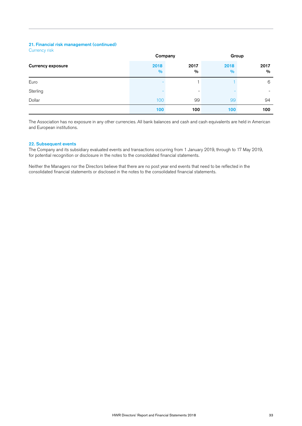#### 21. Financial risk management (continued)

| <b>Currency risk</b> |  |
|----------------------|--|
|                      |  |
|                      |  |

|                          | Company      |                          | Group                 |                       |
|--------------------------|--------------|--------------------------|-----------------------|-----------------------|
| <b>Currency exposure</b> | 2018<br>$\%$ | 2017<br>%                | 2018<br>$\frac{9}{0}$ | 2017<br>$\frac{0}{0}$ |
| Euro                     |              |                          |                       | 6                     |
| Sterling                 |              | $\overline{\phantom{0}}$ |                       | -                     |
| Dollar                   | 100          | 99                       | 99                    | 94                    |
|                          | 100          | 100                      | 100                   | 100                   |

The Association has no exposure in any other currencies. All bank balances and cash and cash equivalents are held in American and European institutions.

#### 22. Subsequent events

The Company and its subsidiary evaluated events and transactions occurring from 1 January 2019, through to 17 May 2019, for potential recognition or disclosure in the notes to the consolidated financial statements.

Neither the Managers nor the Directors believe that there are no post year end events that need to be reflected in the consolidated financial statements or disclosed in the notes to the consolidated financial statements.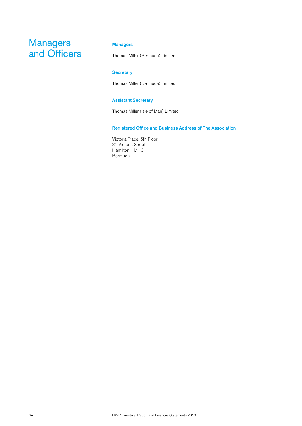### **Managers** and Officers

### Managers

Thomas Miller (Bermuda) Limited

#### **Secretary**

Thomas Miller (Bermuda) Limited

#### Assistant Secretary

Thomas Miller (Isle of Man) Limited

#### Registered Office and Business Address of The Association

Victoria Place, 5th Floor 31 Victoria Street Hamilton HM 10 Bermuda